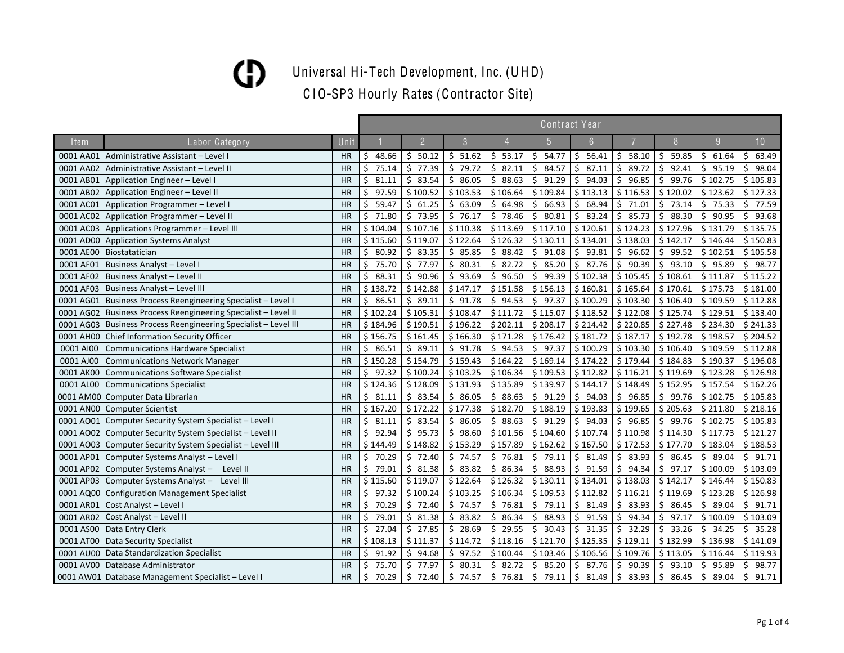Universal Hi-Tech Development, Inc. (UHD)

|           |                                                                   |           |             |                |             |             | Contract Year               |                  |                  |                             |             |                 |
|-----------|-------------------------------------------------------------------|-----------|-------------|----------------|-------------|-------------|-----------------------------|------------------|------------------|-----------------------------|-------------|-----------------|
| Item      | Labor Category                                                    | Unit      |             | $\overline{2}$ | 3           |             |                             | 6                |                  |                             | 9           | 10 <sup>°</sup> |
| 0001 AA01 | Administrative Assistant - Level I                                | <b>HR</b> | 48.66<br>S  | \$50.12        | \$51.62     | \$53.17     | \$54.77                     | \$<br>56.41      | 58.10<br>\$.     | $\overline{5}$<br>59.85     | \$<br>61.64 | 63.49<br>Ŝ.     |
|           | 0001 AA02 Administrative Assistant - Level II                     | <b>HR</b> | Ś.<br>75.14 | 77.39<br>Ŝ.    | \$<br>79.72 | \$82.11     | \$<br>84.57                 | \$<br>87.11      | Ŝ.<br>89.72      | S.<br>92.41                 | \$<br>95.19 | Ś.<br>98.04     |
| 0001 AB01 | Application Engineer - Level I                                    | <b>HR</b> | Ś.<br>81.11 | \$83.54        | \$86.05     | \$88.63     | \$91.29                     | \$<br>94.03      | 96.85<br>Ŝ.      | \$<br>99.76                 | \$102.75    | \$105.83        |
| 0001 AB02 | Application Engineer - Level II                                   | <b>HR</b> | Ś.<br>97.59 | \$100.52       | \$103.53    | \$106.64    | \$109.84                    | \$113.13         | \$116.53         | \$120.02                    | \$123.62    | \$127.33        |
| 0001 AC01 | Application Programmer - Level I                                  | <b>HR</b> | Ś.<br>59.47 | \$61.25        | \$<br>63.09 | \$64.98     | $\zeta$<br>66.93            | \$<br>68.94      | Ś.<br>71.01      | \$<br>73.14                 | \$<br>75.33 | \$77.59         |
|           | 0001 AC02 Application Programmer - Level II                       | <b>HR</b> | $5$ 71.80   | \$73.95        | \$76.17     | \$78.46     | \$<br>80.81                 | \$<br>83.24      | Ŝ.<br>85.73      | \$<br>88.30                 | Ś.<br>90.95 | \$93.68         |
|           | 0001 AC03 Applications Programmer - Level III                     | HR        | \$104.04    | \$107.16       | \$110.38    | \$113.69    | \$117.10                    | \$120.61         | \$124.23         | \$127.96                    | \$131.79    | \$135.75        |
|           | 0001 AD00 Application Systems Analyst                             | HR        | \$115.60    | \$119.07       | \$122.64    | \$126.32    | \$130.11                    | \$134.01         | \$138.03         | \$142.17                    | \$146.44    | \$150.83        |
| 0001 AE00 | Biostatatician                                                    | HR        | \$80.92     | \$83.35        | \$85.85     | \$88.42     | \$91.08                     | \$<br>93.81      | \$<br>96.62      | \$99.52                     | \$102.51    | \$105.58        |
| 0001 AF01 | Business Analyst - Level I                                        | HR        | 75.70<br>\$ | \$77.97        | \$<br>80.31 | \$82.72     | $\ddot{\varsigma}$<br>85.20 | \$<br>87.76      | \$<br>90.39      | \$93.10                     | \$<br>95.89 | \$98.77         |
|           | 0001 AF02 Business Analyst - Level II                             | HR        | 88.31<br>\$ | \$<br>90.96    | \$93.69     | \$96.50     | \$99.39                     | \$102.38         | \$105.45         | \$108.61                    | \$111.87    | \$115.22        |
| 0001 AF03 | Business Analyst - Level III                                      | <b>HR</b> | \$138.72    | \$142.88       | \$147.17    | \$151.58    | \$156.13                    | \$160.81         | \$165.64         | \$170.61                    | \$175.73    | \$181.00        |
|           | 0001 AG01 Business Process Reengineering Specialist - Level I     | <b>HR</b> | \$86.51     | \$89.11        | \$91.78     | \$94.53     | \$97.37                     | \$100.29         | \$103.30         | \$106.40                    | \$109.59    | \$112.88        |
|           | 0001 AG02   Business Process Reengineering Specialist – Level II  | HR        | \$102.24    | \$105.31       | \$108.47    | \$111.72    | \$115.07                    | \$118.52         | \$122.08         | \$125.74                    | \$129.51    | \$133.40        |
|           | 0001 AG03   Business Process Reengineering Specialist - Level III | <b>HR</b> | \$184.96    | \$190.51       | \$196.22    | \$202.11    | \$208.17                    | \$214.42         | \$220.85         | \$227.48                    | \$234.30    | \$241.33        |
|           | 0001 AH00 Chief Information Security Officer                      | HR        | \$156.75    | \$161.45       | \$166.30    | \$171.28    | \$176.42                    | \$181.72         | \$187.17         | \$192.78                    | \$198.57    | \$204.52        |
| 0001 AI00 | Communications Hardware Specialist                                | HR        | \$86.51     | \$89.11        | \$91.78     | \$94.53     | \$97.37                     | \$100.29         | \$103.30         | \$106.40                    | \$109.59    | \$112.88        |
| 0001 AJ00 | <b>Communications Network Manager</b>                             | <b>HR</b> | \$150.28    | \$154.79       | \$159.43    | \$164.22    | \$169.14                    | \$174.22         | \$179.44         | \$184.83                    | \$190.37    | \$196.08        |
|           | 0001 AK00 Communications Software Specialist                      | <b>HR</b> | \$97.32     | \$100.24       | \$103.25    | \$106.34    | \$109.53                    | \$112.82         | \$116.21         | \$119.69                    | \$123.28    | \$126.98        |
| 0001 AL00 | Communications Specialist                                         | <b>HR</b> | \$124.36    | \$128.09       | \$131.93    | \$135.89    | \$139.97                    | \$144.17         | \$148.49         | \$152.95                    | \$157.54    | \$162.26        |
|           | 0001 AM00 Computer Data Librarian                                 | <b>HR</b> | \$31.11     | \$83.54        | \$86.05     | \$88.63     | \$91.29                     | \$<br>94.03      | \$<br>96.85      | \$99.76                     | \$102.75    | \$105.83        |
|           | 0001 AN00 Computer Scientist                                      | HR        | \$167.20    | \$172.22       | \$177.38    | \$182.70    | \$188.19                    | \$193.83         | \$199.65         | \$205.63                    | \$211.80    | \$218.16        |
|           | 0001 AO01 Computer Security System Specialist - Level I           | <b>HR</b> | \$<br>81.11 | \$<br>83.54    | \$86.05     | \$88.63     | \$91.29                     | \$<br>94.03      | \$96.85          | \$99.76                     | \$102.75    | \$105.83        |
|           | 0001 AO02 Computer Security System Specialist - Level II          | <b>HR</b> | \$92.94     | \$95.73        | \$98.60     | \$101.56    | \$104.60                    | \$107.74         | \$110.98         | \$114.30                    | \$117.73    | \$121.27        |
| 0001 AO03 | Computer Security System Specialist - Level III                   | HR        | \$144.49    | \$148.82       | \$153.29    | \$157.89    | \$162.62                    | \$167.50         | \$172.53         | \$177.70                    | \$183.04    | \$188.53        |
| 0001 AP01 | Computer Systems Analyst - Level I                                | HR        | \$70.29     | \$72.40        | \$74.57     | \$76.81     | \$79.11                     | \$<br>81.49      | Ŝ.<br>83.93      | \$<br>86.45                 | Ś.<br>89.04 | \$91.71         |
| 0001 AP02 | Computer Systems Analyst - Level II                               | <b>HR</b> | \$79.01     | \$81.38        | \$83.82     | \$86.34     | $\zeta$<br>88.93            | Ŝ.<br>91.59      | Ś.<br>94.34      | $\mathsf{S}$<br>97.17       | \$100.09    | \$103.09        |
| 0001 AP03 | Computer Systems Analyst - Level III                              | <b>HR</b> | \$115.60    | \$119.07       | \$122.64    | \$126.32    | \$130.11                    | \$134.01         | \$138.03         | \$142.17                    | \$146.44    | \$150.83        |
|           | 0001 AQ00 Configuration Management Specialist                     | <b>HR</b> | \$97.32     | \$100.24       | \$103.25    | \$106.34    | \$109.53                    | \$112.82         | \$116.21         | \$119.69                    | \$123.28    | \$126.98        |
| 0001 AR01 | Cost Analyst - Level I                                            | <b>HR</b> | Ś.<br>70.29 | \$72.40        | \$74.57     | \$76.81     | \$79.11                     | \$<br>81.49      | Ŝ.<br>83.93      | \$<br>86.45                 | Ś.<br>89.04 | \$91.71         |
| 0001 AR02 | Cost Analyst - Level II                                           | <b>HR</b> | Ś.<br>79.01 | Ś.<br>81.38    | Ś.<br>83.82 | Ś.<br>86.34 | \$<br>88.93                 | Ś.<br>91.59      | Ŝ.<br>94.34      | 97.17<br>Ŝ.                 | \$100.09    | \$103.09        |
| 0001 AS00 | Data Entry Clerk                                                  | HR        | 27.04<br>Ś. | \$27.85        | \$28.69     | \$29.55     | \$<br>30.43                 | \$<br>31.35      | 32.29<br>\$      | \$<br>33.26                 | \$<br>34.25 | \$35.28         |
| 0001 AT00 | Data Security Specialist                                          | HR        | \$108.13    | \$111.37       | \$114.72    | \$118.16    | \$121.70                    | \$125.35         | \$129.11         | \$132.99                    | \$136.98    | \$141.09        |
|           | 0001 AU00 Data Standardization Specialist                         | HR        | \$<br>91.92 | \$94.68        | \$97.52     | \$100.44    | \$103.46                    | \$106.56         | \$109.76         | \$113.05                    | \$116.44    | \$119.93        |
|           | 0001 AV00 Database Administrator                                  | HR        | 75.70<br>Ś. | \$<br>77.97    | \$<br>80.31 | \$82.72     | \$<br>85.20                 | \$<br>87.76      | \$<br>90.39      | \$<br>93.10                 | \$<br>95.89 | 98.77<br>Ś.     |
|           | 0001 AW01 Database Management Specialist - Level I                | <b>HR</b> | \$<br>70.29 | \$<br>72.40    | \$<br>74.57 | \$76.81     | $\zeta$<br>79.11            | $\zeta$<br>81.49 | $\zeta$<br>83.93 | $\ddot{\varsigma}$<br>86.45 | \$<br>89.04 | \$<br>91.71     |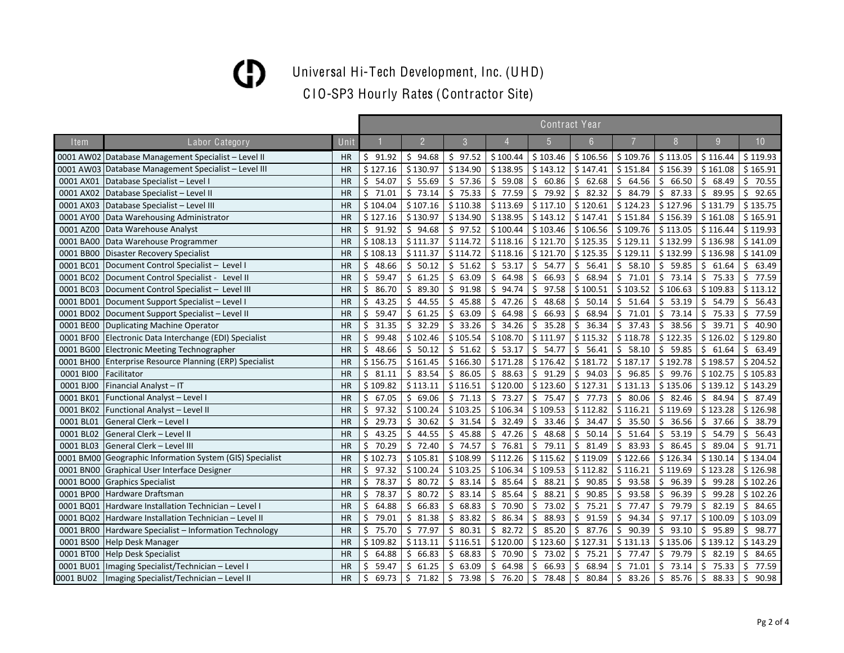Universal Hi-Tech Development, Inc. (UHD)

|           |                                                          |           | <b>Contract Year</b> |             |             |              |                  |             |             |                              |             |                 |  |  |
|-----------|----------------------------------------------------------|-----------|----------------------|-------------|-------------|--------------|------------------|-------------|-------------|------------------------------|-------------|-----------------|--|--|
| Item      | Labor Category                                           | Unit      |                      | 2           | 3           |              |                  | 6           |             |                              | 9           | 10 <sup>°</sup> |  |  |
|           | 0001 AW02 Database Management Specialist - Level II      | HR        | \$91.92              | \$94.68     | \$97.52     | \$100.44     | \$103.46         | \$106.56    | \$109.76    | \$113.05                     | \$116.44    | \$119.93        |  |  |
|           | 0001 AW03 Database Management Specialist - Level III     | HR        | \$127.16             | \$130.97    | \$134.90    | \$138.95     | \$143.12         | \$147.41    | \$151.84    | \$156.39                     | \$161.08    | \$165.91        |  |  |
| 0001 AX01 | Database Specialist - Level I                            | HR        | \$.<br>54.07         | \$55.69     | \$57.36     | \$59.08      | \$60.86          | \$<br>62.68 | \$<br>64.56 | \$<br>66.50                  | \$<br>68.49 | \$70.55         |  |  |
|           | 0001 AX02 Database Specialist - Level II                 | <b>HR</b> | Ś.<br>71.01          | \$73.14     | \$75.33     | \$77.59      | \$<br>79.92      | \$<br>82.32 | Ŝ.<br>84.79 | \$<br>87.33                  | \$<br>89.95 | Ś.<br>92.65     |  |  |
|           | 0001 AX03 Database Specialist - Level III                | <b>HR</b> | \$104.04             | \$107.16    | \$110.38    | \$113.69     | \$117.10         | \$120.61    | \$124.23    | \$127.96                     | \$131.79    | \$135.75        |  |  |
|           | 0001 AY00 Data Warehousing Administrator                 | <b>HR</b> | \$127.16             | \$130.97    | \$134.90    | \$138.95     | \$143.12         | \$147.41    | \$151.84    | \$156.39                     | \$161.08    | \$165.91        |  |  |
| 0001 AZ00 | Data Warehouse Analyst                                   | <b>HR</b> | \$91.92              | \$94.68     | \$97.52     | \$100.44     | \$103.46         | \$106.56    | \$109.76    | \$113.05                     | \$116.44    | \$119.93        |  |  |
|           | 0001 BA00 Data Warehouse Programmer                      | <b>HR</b> | \$108.13             | \$111.37    | \$114.72    | \$118.16     | \$121.70         | \$125.35    | \$129.11    | \$132.99                     | \$136.98    | \$141.09        |  |  |
|           | 0001 BB00 Disaster Recovery Specialist                   | <b>HR</b> | \$108.13             | \$111.37    | \$114.72    | \$118.16     | \$121.70         | \$125.35    | \$129.11    | \$132.99                     | \$136.98    | \$141.09        |  |  |
| 0001 BC01 | Document Control Specialist - Level I                    | HR        | 48.66<br>Ś.          | \$50.12     | \$51.62     | \$53.17      | \$<br>54.77      | \$<br>56.41 | Ś.<br>58.10 | \$<br>59.85                  | Ŝ.<br>61.64 | \$63.49         |  |  |
| 0001 BC02 | Document Control Specialist - Level II                   | HR        | 59.47<br>Ś.          | Ŝ.<br>61.25 | Ŝ.<br>63.09 | Ś.<br>64.98  | Ŝ.<br>66.93      | Ś<br>68.94  | Ś.<br>71.01 | S.<br>73.14                  | Ś.<br>75.33 | \$77.59         |  |  |
|           | 0001 BC03 Document Control Specialist - Level III        | HR        | 86.70<br>\$          | \$<br>89.30 | \$<br>91.98 | \$.<br>94.74 | \$<br>97.58      | \$100.51    | \$103.52    | \$106.63                     | \$109.83    | \$113.12        |  |  |
| 0001 BD01 | Document Support Specialist - Level I                    | <b>HR</b> | 43.25                | 44.55<br>Ś. | \$<br>45.88 | \$47.26      | \$<br>48.68      | \$<br>50.14 | Ś.<br>51.64 | \$<br>53.19                  | \$<br>54.79 | \$56.43         |  |  |
|           | 0001 BD02 Document Support Specialist - Level II         | HR        | 59.47<br>Ś.          | \$<br>61.25 | \$63.09     | Ś.<br>64.98  | \$<br>66.93      | \$<br>68.94 | Ś.<br>71.01 | \$<br>73.14                  | \$<br>75.33 | Ś.<br>77.59     |  |  |
|           | 0001 BE00 Duplicating Machine Operator                   | HR        | Ś.<br>31.35          | 32.29<br>\$ | Ŝ.<br>33.26 | Ś.<br>34.26  | \$<br>35.28      | \$<br>36.34 | 37.43<br>Ŝ. | 38.56<br>\$                  | Ŝ.<br>39.71 | Ś<br>40.90      |  |  |
| 0001 BF00 | Electronic Data Interchange (EDI) Specialist             | <b>HR</b> | 99.48<br>Ś           | \$102.46    | \$105.54    | \$108.70     | \$111.97         | \$115.32    | \$118.78    | \$122.35                     | \$126.02    | \$129.80        |  |  |
|           | 0001 BG00 Electronic Meeting Technographer               | HR        | 48.66<br>Ś.          | \$50.12     | \$51.62     | \$53.17      | \$54.77          | \$56.41     | \$<br>58.10 | \$59.85                      | \$<br>61.64 | \$63.49         |  |  |
|           | 0001 BH00 Enterprise Resource Planning (ERP) Specialist  | HR        | \$156.75             | \$161.45    | \$166.30    | \$171.28     | \$176.42         | \$181.72    | \$187.17    | \$192.78                     | \$198.57    | \$204.52        |  |  |
| 0001 BIOO | Facilitator                                              | <b>HR</b> | \$31.11              | \$83.54     | \$86.05     | \$88.63      | \$91.29          | \$<br>94.03 | \$<br>96.85 | \$99.76                      | \$102.75    | \$105.83        |  |  |
| 0001 BJ00 | Financial Analyst - IT                                   | <b>HR</b> | \$109.82             | \$113.11    | \$116.51    | \$120.00     | \$123.60         | \$127.31    | \$131.13    | \$135.06                     | \$139.12    | \$143.29        |  |  |
| 0001 BK01 | Functional Analyst - Level I                             | <b>HR</b> | 67.05<br>Ś.          | \$69.06     | \$71.13     | \$73.27      | \$75.47          | \$77.73     | Ŝ.<br>80.06 | $\ddot{\mathsf{S}}$<br>82.46 | \$<br>84.94 | \$87.49         |  |  |
| 0001 BK02 | Functional Analyst - Level II                            | <b>HR</b> | 97.32<br>Ś.          | \$100.24    | \$103.25    | \$106.34     | \$109.53         | \$112.82    | \$116.21    | \$119.69                     | \$123.28    | \$126.98        |  |  |
| 0001 BL01 | General Clerk - Level I                                  | <b>HR</b> | 29.73<br>Ś.          | \$30.62     | \$31.54     | \$32.49      | \$<br>33.46      | Ś.<br>34.47 | Ŝ.<br>35.50 | \$<br>36.56                  | Ŝ.<br>37.66 | \$38.79         |  |  |
| 0001 BL02 | General Clerk - Level II                                 | <b>HR</b> | Ś.<br>43.25          | \$44.55     | \$45.88     | \$47.26      | $\zeta$<br>48.68 | \$<br>50.14 | 51.64<br>\$ | \$<br>53.19                  | \$<br>54.79 | \$56.43         |  |  |
| 0001 BL03 | General Clerk - Level III                                | HR        | \$70.29              | \$72.40     | \$74.57     | \$76.81      | \$79.11          | \$<br>81.49 | Ŝ.<br>83.93 | 86.45<br>\$                  | \$<br>89.04 | \$91.71         |  |  |
|           | 0001 BM00 Geographic Information System (GIS) Specialist | <b>HR</b> | \$102.73             | \$105.81    | \$108.99    | \$112.26     | \$115.62         | \$119.09    | \$122.66    | \$126.34                     | \$130.14    | \$134.04        |  |  |
|           | 0001 BN00 Graphical User Interface Designer              | <b>HR</b> | 97.32<br>Ś.          | \$100.24    | \$103.25    | \$106.34     | \$109.53         | \$112.82    | \$116.21    | \$119.69                     | \$123.28    | \$126.98        |  |  |
| 0001 BO00 | <b>Graphics Specialist</b>                               | HR        | 78.37<br>Ś.          | \$80.72     | \$83.14     | \$85.64      | 88.21<br>\$      | \$<br>90.85 | Ŝ.<br>93.58 | \$<br>96.39                  | Ś.<br>99.28 | \$102.26        |  |  |
| 0001 BP00 | Hardware Draftsman                                       | <b>HR</b> | Ś.<br>78.37          | 80.72<br>\$ | \$<br>83.14 | \$85.64      | 88.21<br>\$      | \$<br>90.85 | 93.58<br>\$ | 96.39<br>\$.                 | Ś<br>99.28  | \$102.26        |  |  |
| 0001 BQ01 | Hardware Installation Technician - Level I               | <b>HR</b> | 64.88                | \$<br>66.83 | \$<br>68.83 | Ś.<br>70.90  | \$<br>73.02      | \$<br>75.21 | Ś.<br>77.47 | 79.79<br>\$                  | Ś<br>82.19  | Ś.<br>84.65     |  |  |
|           | 0001 BQ02 Hardware Installation Technician - Level II    | HR        | 79.01<br>Ś.          | \$<br>81.38 | \$<br>83.82 | \$.<br>86.34 | \$<br>88.93      | \$<br>91.59 | Ŝ.<br>94.34 | 97.17<br>\$                  | \$100.09    | \$103.09        |  |  |
|           | 0001 BR00 Hardware Specialist - Information Technology   | <b>HR</b> | 75.70<br>Ś.          | \$77.97     | \$80.31     | \$82.72      | \$<br>85.20      | \$<br>87.76 | \$<br>90.39 | \$<br>93.10                  | \$<br>95.89 | Ś.<br>98.77     |  |  |
|           | 0001 BS00 Help Desk Manager                              | HR        | \$109.82             | \$113.11    | \$116.51    | \$120.00     | \$123.60         | \$127.31    | \$131.13    | \$135.06                     | \$139.12    | \$143.29        |  |  |
|           | 0001 BT00 Help Desk Specialist                           | <b>HR</b> | 64.88<br>Ś.          | Ŝ.<br>66.83 | Ś.<br>68.83 | \$70.90      | \$<br>73.02      | \$<br>75.21 | 77.47<br>Ŝ. | \$<br>79.79                  | \$<br>82.19 | 84.65<br>Ś.     |  |  |
| 0001 BU01 | Imaging Specialist/Technician - Level I                  | HR        | 59.47<br>Ś.          | \$<br>61.25 | \$<br>63.09 | \$.<br>64.98 | \$<br>66.93      | \$<br>68.94 | \$<br>71.01 | \$<br>73.14                  | \$<br>75.33 | Ś.<br>77.59     |  |  |
| 0001 BU02 | Imaging Specialist/Technician - Level II                 | <b>HR</b> | \$<br>69.73          | \$71.82     | \$<br>73.98 | \$76.20      | \$78.48          | \$<br>80.84 | \$83.26     | $\zeta$<br>85.76             | \$<br>88.33 | \$<br>90.98     |  |  |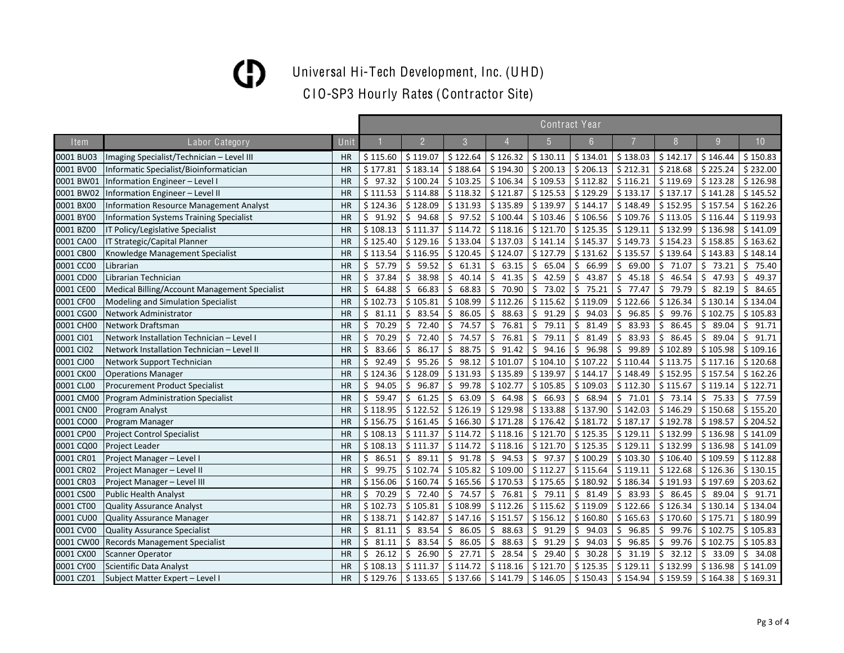Universal Hi-Tech Development, Inc. (UHD)

|           |                                                |           |             |                |                     |             |             | Contract Year |             |             |             |                 |
|-----------|------------------------------------------------|-----------|-------------|----------------|---------------------|-------------|-------------|---------------|-------------|-------------|-------------|-----------------|
| Item      | Labor Category                                 | Unit      |             | $\overline{2}$ | $\mathcal{S}$       |             |             | 6             |             |             | 9           | 10 <sup>°</sup> |
| 0001 BU03 | Imaging Specialist/Technician - Level III      | <b>HR</b> | \$115.60    | \$119.07       | \$122.64            | \$126.32    | \$130.11    | \$134.01      | \$138.03    | \$142.17    | \$146.44    | \$150.83        |
| 0001 BV00 | Informatic Specialist/Bioinformatician         | <b>HR</b> | \$177.81    | \$183.14       | \$188.64            | \$194.30    | \$200.13    | \$206.13      | \$212.31    | \$218.68    | \$225.24    | \$232.00        |
| 0001 BW01 | Information Engineer - Level I                 | <b>HR</b> | \$<br>97.32 | \$100.24       | \$103.25            | \$106.34    | \$109.53    | \$112.82      | \$116.21    | \$119.69    | \$123.28    | \$126.98        |
| 0001 BW02 | Information Engineer - Level II                | <b>HR</b> | \$111.53    | \$114.88       | \$118.32            | \$121.87    | \$125.53    | \$129.29      | \$133.17    | \$137.17    | \$141.28    | \$145.52        |
| 0001 BX00 | <b>Information Resource Management Analyst</b> | <b>HR</b> | \$124.36    | \$128.09       | \$131.93            | \$135.89    | \$139.97    | \$144.17      | \$148.49    | \$152.95    | \$157.54    | \$162.26        |
| 0001 BY00 | <b>Information Systems Training Specialist</b> | <b>HR</b> | \$<br>91.92 | \$<br>94.68    | \$<br>97.52         | \$100.44    | \$103.46    | \$106.56      | \$109.76    | \$113.05    | \$116.44    | \$119.93        |
| 0001 BZ00 | IT Policy/Legislative Specialist               | <b>HR</b> | \$108.13    | \$111.37       | \$114.72            | \$118.16    | \$121.70    | \$125.35      | \$129.11    | \$132.99    | \$136.98    | \$141.09        |
| 0001 CA00 | IT Strategic/Capital Planner                   | <b>HR</b> | \$125.40    | \$129.16       | \$133.04            | \$137.03    | \$141.14    | \$145.37      | \$149.73    | \$154.23    | \$158.85    | \$163.62        |
| 0001 CB00 | Knowledge Management Specialist                | <b>HR</b> | \$113.54    | \$116.95       | \$120.45            | \$124.07    | \$127.79    | \$131.62      | \$135.57    | \$139.64    | \$143.83    | \$148.14        |
| 0001 CC00 | Librarian                                      | <b>HR</b> | Ś.<br>57.79 | \$<br>59.52    | \$<br>61.31         | Ŝ.<br>63.15 | \$<br>65.04 | Ś.<br>66.99   | 69.00<br>Ś. | \$<br>71.07 | \$<br>73.21 | \$75.40         |
| 0001 CD00 | Librarian Technician                           | <b>HR</b> | Ś<br>37.84  | Ŝ.<br>38.98    | 40.14<br>Ŝ          | Ŝ.<br>41.35 | Ŝ.<br>42.59 | 43.87<br>Ś    | 45.18<br>Ś. | Ś.<br>46.54 | Ŝ.<br>47.93 | Ś.<br>49.37     |
| 0001 CE00 | Medical Billing/Account Management Specialist  | <b>HR</b> | Ś<br>64.88  | Ŝ.<br>66.83    | Ŝ.<br>68.83         | Ŝ.<br>70.90 | Ŝ.<br>73.02 | Ś<br>75.21    | Ś.<br>77.47 | Ŝ.<br>79.79 | 82.19<br>Ś. | Ś.<br>84.65     |
| 0001 CF00 | Modeling and Simulation Specialist             | <b>HR</b> | \$102.73    | \$105.81       | \$108.99            | \$112.26    | \$115.62    | \$119.09      | \$122.66    | \$126.34    | \$130.14    | \$134.04        |
| 0001 CG00 | Network Administrator                          | <b>HR</b> | Ś.<br>81.11 | 83.54<br>\$    | \$<br>86.05         | Ś.<br>88.63 | \$<br>91.29 | \$<br>94.03   | \$<br>96.85 | \$<br>99.76 | \$102.75    | \$105.83        |
| 0001 CH00 | Network Draftsman                              | <b>HR</b> | Ś<br>70.29  | 72.40<br>\$    | \$<br>74.57         | \$<br>76.81 | 79.11<br>\$ | 81.49<br>\$   | 83.93<br>Ś. | 86.45<br>\$ | \$<br>89.04 | Ś.<br>91.71     |
| 0001 CI01 | Network Installation Technician - Level I      | <b>HR</b> | 70.29<br>Ś  | 72.40<br>\$    | 74.57<br>\$         | Ś.<br>76.81 | 79.11<br>\$ | \$<br>81.49   | 83.93<br>Ś  | 86.45<br>\$ | 89.04<br>\$ | 91.71<br>Ś.     |
| 0001 CI02 | Network Installation Technician - Level II     | <b>HR</b> | 83.66<br>Ś  | 86.17<br>\$    | \$<br>88.75         | \$<br>91.42 | \$<br>94.16 | 96.98<br>\$   | 99.89<br>Ś. | \$102.89    | \$105.98    | \$109.16        |
| 0001 CJ00 | Network Support Technician                     | <b>HR</b> | Ś.<br>92.49 | \$<br>95.26    | \$<br>98.12         | \$101.07    | \$104.10    | \$107.22      | \$110.44    | \$113.75    | \$117.16    | \$120.68        |
| 0001 CK00 | <b>Operations Manager</b>                      | <b>HR</b> | \$124.36    | \$128.09       | \$131.93            | \$135.89    | \$139.97    | \$144.17      | \$148.49    | \$152.95    | \$157.54    | \$162.26        |
| 0001 CL00 | <b>Procurement Product Specialist</b>          | <b>HR</b> | Ś.<br>94.05 | \$<br>96.87    | \$<br>99.78         | \$102.77    | \$105.85    | \$109.03      | \$112.30    | \$115.67    | \$119.14    | \$122.71        |
| 0001 CM00 | <b>Program Administration Specialist</b>       | <b>HR</b> | Ś.<br>59.47 | 61.25<br>\$    | Ŝ.<br>63.09         | Ŝ.<br>64.98 | \$<br>66.93 | \$<br>68.94   | \$71.01     | \$73.14     | Ś.<br>75.33 | \$77.59         |
| 0001 CN00 | Program Analyst                                | <b>HR</b> | \$118.95    | \$122.52       | \$126.19            | \$129.98    | \$133.88    | \$137.90      | \$142.03    | \$146.29    | \$150.68    | \$155.20        |
| 0001 CO00 | Program Manager                                | <b>HR</b> | \$156.75    | \$161.45       | \$166.30            | \$171.28    | \$176.42    | \$181.72      | \$187.17    | \$192.78    | \$198.57    | \$204.52        |
| 0001 CP00 | <b>Project Control Specialist</b>              | HR        | \$108.13    | \$111.37       | \$114.72            | \$118.16    | \$121.70    | \$125.35      | \$129.11    | \$132.99    | \$136.98    | \$141.09        |
| 0001 CQ00 | Project Leader                                 | <b>HR</b> | \$108.13    | \$111.37       | \$114.72            | \$118.16    | \$121.70    | \$125.35      | \$129.11    | \$132.99    | \$136.98    | \$141.09        |
| 0001 CR01 | Project Manager - Level I                      | HR        | \$86.51     | \$89.11        | \$91.78             | \$94.53     | \$97.37     | \$100.29      | \$103.30    | \$106.40    | \$109.59    | \$112.88        |
| 0001 CR02 | Project Manager - Level II                     | <b>HR</b> | Ś.<br>99.75 | \$102.74       | \$105.82            | \$109.00    | \$112.27    | \$115.64      | \$119.11    | \$122.68    | \$126.36    | \$130.15        |
| 0001 CR03 | Project Manager - Level III                    | <b>HR</b> | \$156.06    | \$160.74       | \$165.56            | \$170.53    | \$175.65    | \$180.92      | \$186.34    | \$191.93    | \$197.69    | \$203.62        |
| 0001 CS00 | <b>Public Health Analyst</b>                   | <b>HR</b> | Ś.<br>70.29 | \$72.40        | \$<br>74.57         | \$76.81     | \$79.11     | \$<br>81.49   | \$83.93     | \$86.45     | \$<br>89.04 | \$91.71         |
| 0001 CT00 | <b>Quality Assurance Analyst</b>               | <b>HR</b> | \$102.73    | \$105.81       | \$108.99            | \$112.26    | \$115.62    | \$119.09      | \$122.66    | \$126.34    | \$130.14    | \$134.04        |
| 0001 CU00 | <b>Quality Assurance Manager</b>               | <b>HR</b> | \$138.71    | \$142.87       | \$147.16            | \$151.57    | \$156.12    | \$160.80      | \$165.63    | \$170.60    | \$175.71    | \$180.99        |
| 0001 CV00 | <b>Quality Assurance Specialist</b>            | <b>HR</b> | Ś<br>81.11  | Ŝ.<br>83.54    | Ś<br>86.05          | 88.63<br>Ś  | \$<br>91.29 | Ś.<br>94.03   | 96.85<br>Ś  | 99.76<br>\$ | \$102.75    | \$105.83        |
| 0001 CW00 | <b>Records Management Specialist</b>           | <b>HR</b> | Ś<br>81.11  | 83.54<br>\$.   | Ŝ.<br>86.05         | Ŝ.<br>88.63 | \$<br>91.29 | \$<br>94.03   | Ś.<br>96.85 | 99.76<br>\$ | \$102.75    | \$105.83        |
| 0001 CX00 | <b>Scanner Operator</b>                        | <b>HR</b> | Ś.<br>26.12 | \$<br>26.90    | \$<br>27.71         | Ŝ.<br>28.54 | \$<br>29.40 | \$<br>30.28   | Ś.<br>31.19 | \$<br>32.12 | \$<br>33.09 | Ŝ.<br>34.08     |
| 0001 CY00 | Scientific Data Analyst                        | <b>HR</b> | \$108.13    | \$111.37       | \$114.72            | \$118.16    | \$121.70    | \$125.35      | \$129.11    | \$132.99    | \$136.98    | \$141.09        |
| 0001 CZ01 | Subject Matter Expert - Level I                | <b>HR</b> | \$129.76    | \$133.65       | $$137.66$ $$141.79$ |             | \$146.05    | \$150.43      | \$154.94    | \$159.59    | \$164.38    | \$169.31        |